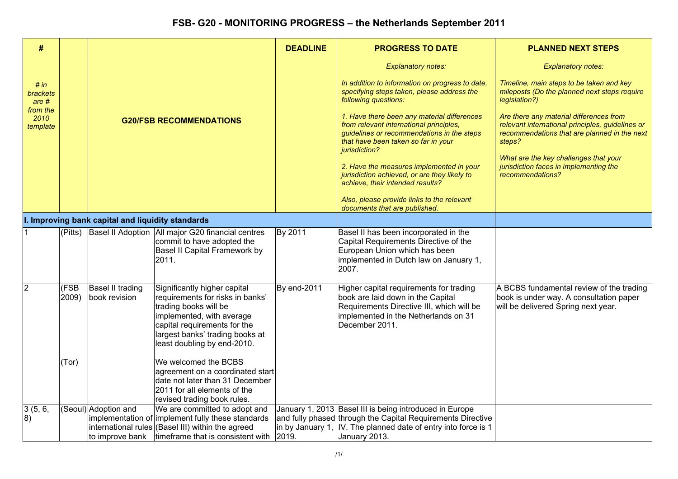| #                            |               |                                                   |                                                                                                                                                                                                                          | <b>DEADLINE</b> | <b>PROGRESS TO DATE</b>                                                                                                                                                                      | <b>PLANNED NEXT STEPS</b>                                                                                                                             |
|------------------------------|---------------|---------------------------------------------------|--------------------------------------------------------------------------------------------------------------------------------------------------------------------------------------------------------------------------|-----------------|----------------------------------------------------------------------------------------------------------------------------------------------------------------------------------------------|-------------------------------------------------------------------------------------------------------------------------------------------------------|
|                              |               |                                                   |                                                                                                                                                                                                                          |                 | <b>Explanatory notes:</b>                                                                                                                                                                    | <b>Explanatory notes:</b>                                                                                                                             |
| # in<br>brackets<br>are #    |               |                                                   |                                                                                                                                                                                                                          |                 | In addition to information on progress to date,<br>specifying steps taken, please address the<br>following questions:                                                                        | Timeline, main steps to be taken and key<br>mileposts (Do the planned next steps require<br>legislation?)                                             |
| from the<br>2010<br>template |               |                                                   | <b>G20/FSB RECOMMENDATIONS</b>                                                                                                                                                                                           |                 | 1. Have there been any material differences<br>from relevant international principles,<br>guidelines or recommendations in the steps<br>that have been taken so far in your<br>jurisdiction? | Are there any material differences from<br>relevant international principles, guidelines or<br>recommendations that are planned in the next<br>steps? |
|                              |               |                                                   |                                                                                                                                                                                                                          |                 | 2. Have the measures implemented in your<br>jurisdiction achieved, or are they likely to<br>achieve, their intended results?                                                                 | What are the key challenges that your<br>jurisdiction faces in implementing the<br>recommendations?                                                   |
|                              |               |                                                   |                                                                                                                                                                                                                          |                 | Also, please provide links to the relevant<br>documents that are published.                                                                                                                  |                                                                                                                                                       |
|                              |               | I. Improving bank capital and liquidity standards |                                                                                                                                                                                                                          |                 |                                                                                                                                                                                              |                                                                                                                                                       |
|                              |               |                                                   | (Pitts) Basel II Adoption   All major G20 financial centres<br>commit to have adopted the<br>Basel II Capital Framework by<br>2011.                                                                                      | By 2011         | Basel II has been incorporated in the<br>Capital Requirements Directive of the<br>European Union which has been<br>implemented in Dutch law on January 1,<br>2007.                           |                                                                                                                                                       |
| 2                            | (FSB<br>2009) | Basel II trading<br>book revision                 | Significantly higher capital<br>requirements for risks in banks'<br>trading books will be<br>implemented, with average<br>capital requirements for the<br>largest banks' trading books at<br>least doubling by end-2010. | By end-2011     | Higher capital requirements for trading<br>book are laid down in the Capital<br>Requirements Directive III, which will be<br>implemented in the Netherlands on 31<br>December 2011.          | A BCBS fundamental review of the trading<br>book is under way. A consultation paper<br>will be delivered Spring next year.                            |
|                              | (Tor)         |                                                   | We welcomed the BCBS<br>agreement on a coordinated start<br>date not later than 31 December<br>2011 for all elements of the<br>revised trading book rules.                                                               |                 |                                                                                                                                                                                              |                                                                                                                                                       |
| 3(5, 6,                      |               | (Seoul) Adoption and                              | We are committed to adopt and                                                                                                                                                                                            |                 | January 1, 2013 Basel III is being introduced in Europe                                                                                                                                      |                                                                                                                                                       |
| 8)                           |               |                                                   | implementation of implement fully these standards<br>international rules (Basel III) within the agreed                                                                                                                   |                 | and fully phased through the Capital Requirements Directive<br>in by January 1, IV. The planned date of entry into force is 1                                                                |                                                                                                                                                       |
|                              |               | to improve bank                                   | timeframe that is consistent with                                                                                                                                                                                        | 2019.           | January 2013.                                                                                                                                                                                |                                                                                                                                                       |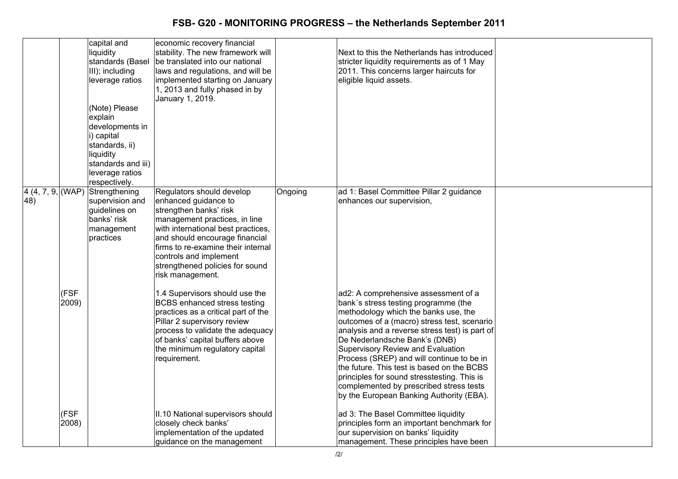|                           |               | capital and<br>liquidity<br>standards (Basel<br>III); including<br>leverage ratios<br>(Note) Please<br>explain<br>developments in<br>i) capital<br>standards, ii)<br>liquidity<br>standards and iii)<br>leverage ratios<br>respectively. | economic recovery financial<br>stability. The new framework will<br>be translated into our national<br>laws and regulations, and will be<br>implemented starting on January<br>1, 2013 and fully phased in by<br>January 1, 2019.                                                                           |         | Next to this the Netherlands has introduced<br>stricter liquidity requirements as of 1 May<br>2011. This concerns larger haircuts for<br>eligible liquid assets.                                                                                                                                                                                                                                                                                                                                                             |  |
|---------------------------|---------------|------------------------------------------------------------------------------------------------------------------------------------------------------------------------------------------------------------------------------------------|-------------------------------------------------------------------------------------------------------------------------------------------------------------------------------------------------------------------------------------------------------------------------------------------------------------|---------|------------------------------------------------------------------------------------------------------------------------------------------------------------------------------------------------------------------------------------------------------------------------------------------------------------------------------------------------------------------------------------------------------------------------------------------------------------------------------------------------------------------------------|--|
| 4(4, 7, 9,  (WAP))<br>48) |               | Strengthening<br>supervision and<br>guidelines on<br>banks' risk<br>management<br>practices                                                                                                                                              | Regulators should develop<br>enhanced guidance to<br>strengthen banks' risk<br>management practices, in line<br>with international best practices,<br>and should encourage financial<br>firms to re-examine their internal<br>controls and implement<br>strengthened policies for sound<br>risk management. | Ongoing | ad 1: Basel Committee Pillar 2 guidance<br>enhances our supervision,                                                                                                                                                                                                                                                                                                                                                                                                                                                         |  |
|                           | (FSF<br>2009) |                                                                                                                                                                                                                                          | 1.4 Supervisors should use the<br><b>BCBS</b> enhanced stress testing<br>practices as a critical part of the<br>Pillar 2 supervisory review<br>process to validate the adequacy<br>of banks' capital buffers above<br>the minimum regulatory capital<br>requirement.                                        |         | ad2: A comprehensive assessment of a<br>bank's stress testing programme (the<br>methodology which the banks use, the<br>outcomes of a (macro) stress test, scenario<br>analysis and a reverse stress test) is part of<br>De Nederlandsche Bank's (DNB)<br>Supervisory Review and Evaluation<br>Process (SREP) and will continue to be in<br>the future. This test is based on the BCBS<br>principles for sound stresstesting. This is<br>complemented by prescribed stress tests<br>by the European Banking Authority (EBA). |  |
|                           | (FSF<br>2008) |                                                                                                                                                                                                                                          | II.10 National supervisors should<br>closely check banks'<br>implementation of the updated<br>guidance on the management                                                                                                                                                                                    |         | ad 3: The Basel Committee liquidity<br>principles form an important benchmark for<br>our supervision on banks' liquidity<br>management. These principles have been                                                                                                                                                                                                                                                                                                                                                           |  |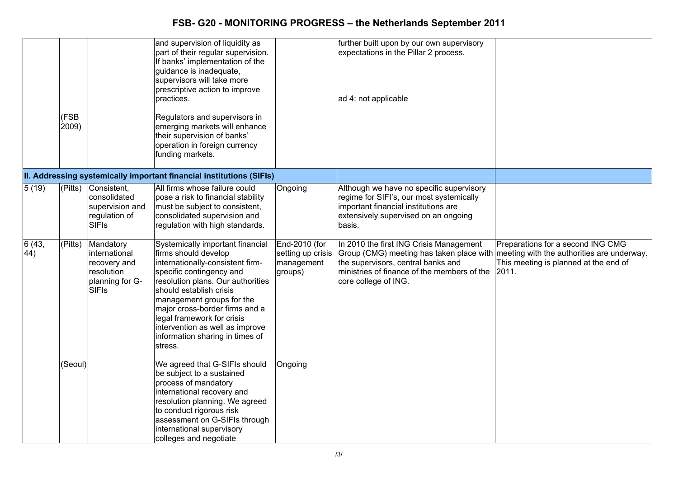|               | (FSB<br>2009) |                                                                                             | and supervision of liquidity as<br>part of their regular supervision.<br>If banks' implementation of the<br>guidance is inadequate,<br>supervisors will take more<br>prescriptive action to improve<br>practices.<br>Regulators and supervisors in<br>emerging markets will enhance<br>their supervision of banks'<br>operation in foreign currency<br>funding markets. |                                                             | further built upon by our own supervisory<br>expectations in the Pillar 2 process.<br>ad 4: not applicable                                                                                                                                  |                                                                                     |
|---------------|---------------|---------------------------------------------------------------------------------------------|-------------------------------------------------------------------------------------------------------------------------------------------------------------------------------------------------------------------------------------------------------------------------------------------------------------------------------------------------------------------------|-------------------------------------------------------------|---------------------------------------------------------------------------------------------------------------------------------------------------------------------------------------------------------------------------------------------|-------------------------------------------------------------------------------------|
|               |               |                                                                                             | II. Addressing systemically important financial institutions (SIFIs)                                                                                                                                                                                                                                                                                                    |                                                             |                                                                                                                                                                                                                                             |                                                                                     |
| 5(19)         | (Pitts)       | Consistent,<br>consolidated<br>supervision and<br>regulation of<br><b>SIFIS</b>             | All firms whose failure could<br>pose a risk to financial stability<br>must be subject to consistent,<br>consolidated supervision and<br>regulation with high standards.                                                                                                                                                                                                | Ongoing                                                     | Although we have no specific supervisory<br>regime for SIFI's, our most systemically<br>important financial institutions are<br>extensively supervised on an ongoing<br>basis.                                                              |                                                                                     |
| 6(43,<br>(44) | (Pitts)       | Mandatory<br>international<br>recovery and<br>resolution<br>planning for G-<br><b>SIFIS</b> | Systemically important financial<br>firms should develop<br>internationally-consistent firm-<br>specific contingency and<br>resolution plans. Our authorities<br>should establish crisis<br>management groups for the<br>major cross-border firms and a<br>legal framework for crisis<br>intervention as well as improve<br>information sharing in times of<br>stress.  | End-2010 (for<br>setting up crisis<br>management<br>groups) | In 2010 the first ING Crisis Management<br>Group (CMG) meeting has taken place with meeting with the authorities are underway.<br>the supervisors, central banks and<br>ministries of finance of the members of the<br>core college of ING. | Preparations for a second ING CMG<br>This meeting is planned at the end of<br>2011. |
|               | (Seoul)       |                                                                                             | We agreed that G-SIFIs should<br>be subject to a sustained<br>process of mandatory<br>international recovery and<br>resolution planning. We agreed<br>to conduct rigorous risk<br>assessment on G-SIFIs through<br>international supervisory<br>colleges and negotiate                                                                                                  | Ongoing                                                     |                                                                                                                                                                                                                                             |                                                                                     |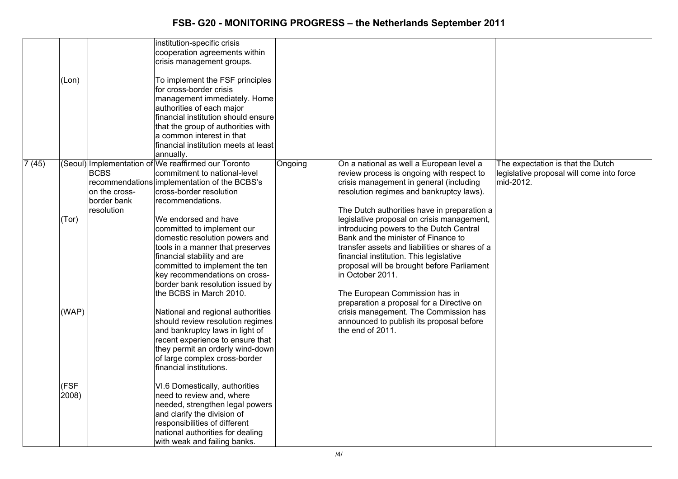| (Lon)                           |                                                                    | institution-specific crisis<br>cooperation agreements within<br>crisis management groups.<br>To implement the FSF principles<br>for cross-border crisis<br>management immediately. Home<br>authorities of each major<br>financial institution should ensure<br>that the group of authorities with<br>a common interest in that<br>financial institution meets at least<br>annually.                                                                                                                                                                                                                                                                                                                                                                                                                                                                                                                                                                                   |         |                                                                                                                                                                                                                                                                                                                                                                                                                                                                                                                                                                                                                                                                                                                    |                                                                                             |
|---------------------------------|--------------------------------------------------------------------|-----------------------------------------------------------------------------------------------------------------------------------------------------------------------------------------------------------------------------------------------------------------------------------------------------------------------------------------------------------------------------------------------------------------------------------------------------------------------------------------------------------------------------------------------------------------------------------------------------------------------------------------------------------------------------------------------------------------------------------------------------------------------------------------------------------------------------------------------------------------------------------------------------------------------------------------------------------------------|---------|--------------------------------------------------------------------------------------------------------------------------------------------------------------------------------------------------------------------------------------------------------------------------------------------------------------------------------------------------------------------------------------------------------------------------------------------------------------------------------------------------------------------------------------------------------------------------------------------------------------------------------------------------------------------------------------------------------------------|---------------------------------------------------------------------------------------------|
| 7(45)<br>(Tor)<br>(FSF<br>2008) | <b>BCBS</b><br>on the cross-<br>border bank<br>resolution<br>(WAP) | (Seoul) Implementation of We reaffirmed our Toronto<br>commitment to national-level<br>recommendations implementation of the BCBS's<br>cross-border resolution<br>recommendations.<br>We endorsed and have<br>committed to implement our<br>domestic resolution powers and<br>tools in a manner that preserves<br>financial stability and are<br>committed to implement the ten<br>key recommendations on cross-<br>border bank resolution issued by<br>the BCBS in March 2010.<br>National and regional authorities<br>should review resolution regimes<br>and bankruptcy laws in light of<br>recent experience to ensure that<br>they permit an orderly wind-down<br>of large complex cross-border<br>financial institutions.<br>VI.6 Domestically, authorities<br>need to review and, where<br>needed, strengthen legal powers<br>and clarify the division of<br>responsibilities of different<br>national authorities for dealing<br>with weak and failing banks. | Ongoing | On a national as well a European level a<br>review process is ongoing with respect to<br>crisis management in general (including<br>resolution regimes and bankruptcy laws).<br>The Dutch authorities have in preparation a<br>legislative proposal on crisis management,<br>introducing powers to the Dutch Central<br>Bank and the minister of Finance to<br>transfer assets and liabilities or shares of a<br>financial institution. This legislative<br>proposal will be brought before Parliament<br>in October 2011.<br>The European Commission has in<br>preparation a proposal for a Directive on<br>crisis management. The Commission has<br>announced to publish its proposal before<br>the end of 2011. | The expectation is that the Dutch<br>legislative proposal will come into force<br>mid-2012. |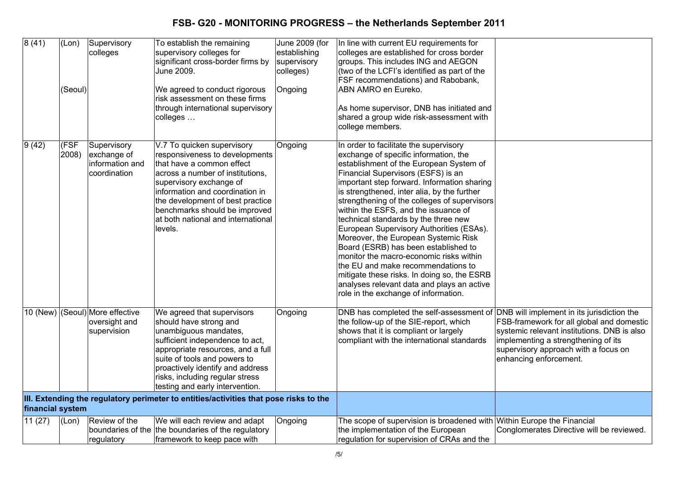| 8(41)            | (Lon)<br>(Seoul) | Supervisory<br>colleges                                         | To establish the remaining<br>supervisory colleges for<br>significant cross-border firms by<br>June 2009.<br>We agreed to conduct rigorous<br>risk assessment on these firms<br>through international supervisory                                                                                                                                                                        | June 2009 (for<br>establishing<br>supervisory<br>colleges)<br>Ongoing | In line with current EU requirements for<br>colleges are established for cross border<br>groups. This includes ING and AEGON<br>(two of the LCFI's identified as part of the<br>FSF recommendations) and Rabobank,<br>ABN AMRO en Eureko.<br>As home supervisor, DNB has initiated and                                                                                                                                                                                                                                                                                                                                                                                                                                                           |                                                                                                                                                                                                   |
|------------------|------------------|-----------------------------------------------------------------|------------------------------------------------------------------------------------------------------------------------------------------------------------------------------------------------------------------------------------------------------------------------------------------------------------------------------------------------------------------------------------------|-----------------------------------------------------------------------|--------------------------------------------------------------------------------------------------------------------------------------------------------------------------------------------------------------------------------------------------------------------------------------------------------------------------------------------------------------------------------------------------------------------------------------------------------------------------------------------------------------------------------------------------------------------------------------------------------------------------------------------------------------------------------------------------------------------------------------------------|---------------------------------------------------------------------------------------------------------------------------------------------------------------------------------------------------|
|                  |                  |                                                                 | colleges                                                                                                                                                                                                                                                                                                                                                                                 |                                                                       | shared a group wide risk-assessment with<br>college members.                                                                                                                                                                                                                                                                                                                                                                                                                                                                                                                                                                                                                                                                                     |                                                                                                                                                                                                   |
| 9(42)            | (FSF)<br>2008)   | Supervisory<br>exchange of<br>information and<br>coordination   | V.7 To quicken supervisory<br>responsiveness to developments<br>that have a common effect<br>across a number of institutions,<br>supervisory exchange of<br>information and coordination in<br>the development of best practice<br>benchmarks should be improved<br>at both national and international<br>levels.                                                                        | Ongoing                                                               | In order to facilitate the supervisory<br>exchange of specific information, the<br>establishment of the European System of<br>Financial Supervisors (ESFS) is an<br>important step forward. Information sharing<br>is strengthened, inter alia, by the further<br>strengthening of the colleges of supervisors<br>within the ESFS, and the issuance of<br>technical standards by the three new<br>European Supervisory Authorities (ESAs).<br>Moreover, the European Systemic Risk<br>Board (ESRB) has been established to<br>monitor the macro-economic risks within<br>the EU and make recommendations to<br>mitigate these risks. In doing so, the ESRB<br>analyses relevant data and plays an active<br>role in the exchange of information. |                                                                                                                                                                                                   |
|                  |                  | 10 (New) (Seoul) More effective<br>oversight and<br>supervision | We agreed that supervisors<br>should have strong and<br>unambiguous mandates,<br>sufficient independence to act,<br>appropriate resources, and a full<br>suite of tools and powers to<br>proactively identify and address<br>risks, including regular stress<br>testing and early intervention.<br>III. Extending the regulatory perimeter to entities/activities that pose risks to the | Ongoing                                                               | DNB has completed the self-assessment of DNB will implement in its jurisdiction the<br>the follow-up of the SIE-report, which<br>shows that it is compliant or largely<br>compliant with the international standards                                                                                                                                                                                                                                                                                                                                                                                                                                                                                                                             | FSB-framework for all global and domestic<br>systemic relevant institutions. DNB is also<br>implementing a strengthening of its<br>supervisory approach with a focus on<br>enhancing enforcement. |
| financial system |                  |                                                                 |                                                                                                                                                                                                                                                                                                                                                                                          |                                                                       |                                                                                                                                                                                                                                                                                                                                                                                                                                                                                                                                                                                                                                                                                                                                                  |                                                                                                                                                                                                   |
| 11(27)           | (Lon)            | Review of the<br>regulatory                                     | We will each review and adapt<br>boundaries of the the boundaries of the regulatory<br>framework to keep pace with                                                                                                                                                                                                                                                                       | Ongoing                                                               | The scope of supervision is broadened with Within Europe the Financial<br>the implementation of the European<br>regulation for supervision of CRAs and the                                                                                                                                                                                                                                                                                                                                                                                                                                                                                                                                                                                       | Conglomerates Directive will be reviewed.                                                                                                                                                         |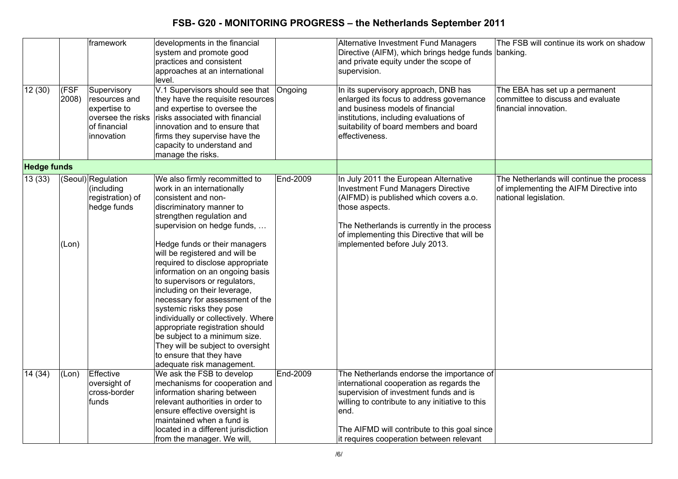|                    |               | framework                                                                                       | developments in the financial<br>system and promote good<br>practices and consistent<br>approaches at an international<br>level.                                                                                                                                                                                                                                                                                                                                                                                                                                                                                                                              |          | Alternative Investment Fund Managers<br>Directive (AIFM), which brings hedge funds banking.<br>and private equity under the scope of<br>supervision.                                                                                                                                   | The FSB will continue its work on shadow                                                                      |
|--------------------|---------------|-------------------------------------------------------------------------------------------------|---------------------------------------------------------------------------------------------------------------------------------------------------------------------------------------------------------------------------------------------------------------------------------------------------------------------------------------------------------------------------------------------------------------------------------------------------------------------------------------------------------------------------------------------------------------------------------------------------------------------------------------------------------------|----------|----------------------------------------------------------------------------------------------------------------------------------------------------------------------------------------------------------------------------------------------------------------------------------------|---------------------------------------------------------------------------------------------------------------|
| 12(30)             | (FSF<br>2008) | Supervisory<br>resources and<br>expertise to<br>oversee the risks<br>of financial<br>innovation | V.1 Supervisors should see that Ongoing<br>they have the requisite resources<br>and expertise to oversee the<br>risks associated with financial<br>innovation and to ensure that<br>firms they supervise have the<br>capacity to understand and<br>manage the risks.                                                                                                                                                                                                                                                                                                                                                                                          |          | In its supervisory approach, DNB has<br>enlarged its focus to address governance<br>and business models of financial<br>institutions, including evaluations of<br>suitability of board members and board<br>effectiveness.                                                             | The EBA has set up a permanent<br>committee to discuss and evaluate<br>financial innovation.                  |
| <b>Hedge funds</b> |               |                                                                                                 |                                                                                                                                                                                                                                                                                                                                                                                                                                                                                                                                                                                                                                                               |          |                                                                                                                                                                                                                                                                                        |                                                                                                               |
| 13(33)             | (Lon)         | (Seoul)Regulation<br>(including<br>registration) of<br>hedge funds                              | We also firmly recommitted to<br>work in an internationally<br>consistent and non-<br>discriminatory manner to<br>strengthen regulation and<br>supervision on hedge funds,<br>Hedge funds or their managers<br>will be registered and will be<br>required to disclose appropriate<br>information on an ongoing basis<br>to supervisors or regulators,<br>including on their leverage,<br>necessary for assessment of the<br>systemic risks they pose<br>individually or collectively. Where<br>appropriate registration should<br>be subject to a minimum size.<br>They will be subject to oversight<br>to ensure that they have<br>adequate risk management. | End-2009 | In July 2011 the European Alternative<br><b>Investment Fund Managers Directive</b><br>(AIFMD) is published which covers a.o.<br>those aspects.<br>The Netherlands is currently in the process<br>of implementing this Directive that will be<br>implemented before July 2013.          | The Netherlands will continue the process<br>of implementing the AIFM Directive into<br>national legislation. |
| 14 (34)            | (Lon)         | Effective<br>oversight of<br>cross-border<br>funds                                              | We ask the FSB to develop<br>mechanisms for cooperation and<br>information sharing between<br>relevant authorities in order to<br>ensure effective oversight is<br>maintained when a fund is<br>located in a different jurisdiction<br>from the manager. We will,                                                                                                                                                                                                                                                                                                                                                                                             | End-2009 | The Netherlands endorse the importance of<br>international cooperation as regards the<br>supervision of investment funds and is<br>willing to contribute to any initiative to this<br>end.<br>The AIFMD will contribute to this goal since<br>it requires cooperation between relevant |                                                                                                               |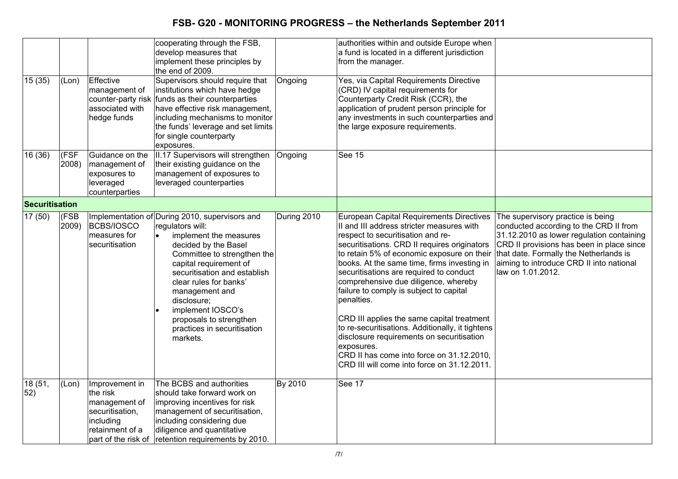|                       |               |                                                                                                | cooperating through the FSB,<br>develop measures that<br>implement these principles by<br>the end of 2009.                                                                                                                                                                                                                                                          |             | authorities within and outside Europe when<br>a fund is located in a different jurisdiction<br>from the manager.                                                                                                                                                                                                                                                                                                                                                                                                                                                                                                                                                             |                                                                                                                                                                                                                                                                                  |
|-----------------------|---------------|------------------------------------------------------------------------------------------------|---------------------------------------------------------------------------------------------------------------------------------------------------------------------------------------------------------------------------------------------------------------------------------------------------------------------------------------------------------------------|-------------|------------------------------------------------------------------------------------------------------------------------------------------------------------------------------------------------------------------------------------------------------------------------------------------------------------------------------------------------------------------------------------------------------------------------------------------------------------------------------------------------------------------------------------------------------------------------------------------------------------------------------------------------------------------------------|----------------------------------------------------------------------------------------------------------------------------------------------------------------------------------------------------------------------------------------------------------------------------------|
| 15(35)                | (Lon)         | Effective<br>management of<br>associated with<br>hedge funds                                   | Supervisors should require that<br>institutions which have hedge<br>counter-party risk funds as their counterparties<br>have effective risk management,<br>including mechanisms to monitor<br>the funds' leverage and set limits<br>for single counterparty<br>exposures.                                                                                           | Ongoing     | Yes, via Capital Requirements Directive<br>(CRD) IV capital requirements for<br>Counterparty Credit Risk (CCR), the<br>application of prudent person principle for<br>any investments in such counterparties and<br>the large exposure requirements.                                                                                                                                                                                                                                                                                                                                                                                                                         |                                                                                                                                                                                                                                                                                  |
| 16(36)                | (FSF<br>2008) | Guidance on the<br>management of<br>exposures to<br>leveraged<br>counterparties                | II.17 Supervisors will strengthen<br>their existing guidance on the<br>management of exposures to<br>leveraged counterparties                                                                                                                                                                                                                                       | Ongoing     | See 15                                                                                                                                                                                                                                                                                                                                                                                                                                                                                                                                                                                                                                                                       |                                                                                                                                                                                                                                                                                  |
| <b>Securitisation</b> |               |                                                                                                |                                                                                                                                                                                                                                                                                                                                                                     |             |                                                                                                                                                                                                                                                                                                                                                                                                                                                                                                                                                                                                                                                                              |                                                                                                                                                                                                                                                                                  |
| 17(50)                | (FSB<br>2009) | BCBS/IOSCO<br>measures for<br>securitisation                                                   | Implementation of During 2010, supervisors and<br>regulators will:<br>implement the measures<br>decided by the Basel<br>Committee to strengthen the<br>capital requirement of<br>securitisation and establish<br>clear rules for banks'<br>management and<br>disclosure;<br>implement IOSCO's<br>proposals to strengthen<br>practices in securitisation<br>markets. | During 2010 | European Capital Requirements Directives<br>II and III address stricter measures with<br>respect to securitisation and re-<br>securitisations. CRD II requires originators<br>to retain 5% of economic exposure on their<br>books. At the same time, firms investing in<br>securitisations are required to conduct<br>comprehensive due diligence, whereby<br>failure to comply is subject to capital<br>penalties.<br>CRD III applies the same capital treatment<br>to re-securitisations. Additionally, it tightens<br>disclosure requirements on securitisation<br>exposures.<br>CRD II has come into force on 31.12.2010,<br>CRD III will come into force on 31.12.2011. | The supervisory practice is being<br>conducted according to the CRD II from<br>31.12.2010 as lower regulation containing<br>CRD II provisions has been in place since<br>that date. Formally the Netherlands is<br>aiming to introduce CRD II into national<br>law on 1.01.2012. |
| 18 (51,<br>52)        | (Lon)         | Improvement in<br>the risk<br>management of<br>securitisation,<br>including<br>retainment of a | The BCBS and authorities<br>should take forward work on<br>improving incentives for risk<br>management of securitisation,<br>including considering due<br>diligence and quantitative<br>part of the risk of retention requirements by 2010.                                                                                                                         | By 2010     | See 17                                                                                                                                                                                                                                                                                                                                                                                                                                                                                                                                                                                                                                                                       |                                                                                                                                                                                                                                                                                  |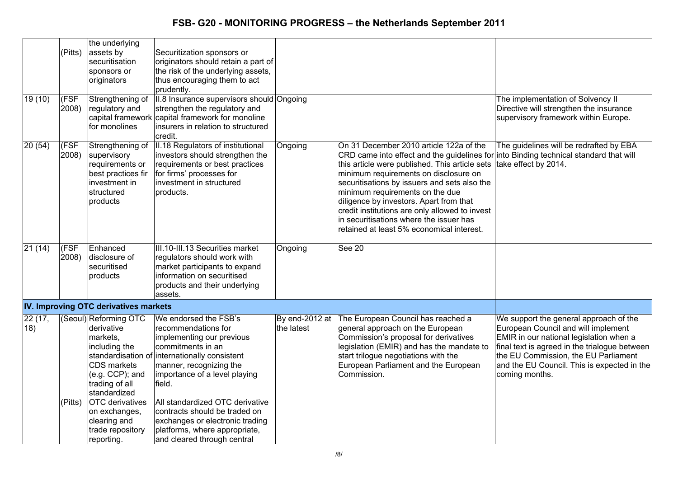|        |         | the underlying                        |                                                  |            |                                                   |                                               |
|--------|---------|---------------------------------------|--------------------------------------------------|------------|---------------------------------------------------|-----------------------------------------------|
|        | (Pitts) | assets by                             | Securitization sponsors or                       |            |                                                   |                                               |
|        |         | securitisation                        | originators should retain a part of              |            |                                                   |                                               |
|        |         | sponsors or                           | the risk of the underlying assets,               |            |                                                   |                                               |
|        |         | originators                           | thus encouraging them to act                     |            |                                                   |                                               |
|        |         |                                       | prudently.                                       |            |                                                   |                                               |
| 19(10) | (FSF    | Strengthening of                      | II.8 Insurance supervisors should Ongoing        |            |                                                   | The implementation of Solvency II             |
|        | 2008)   | regulatory and                        | strengthen the regulatory and                    |            |                                                   | Directive will strengthen the insurance       |
|        |         |                                       | capital framework capital framework for monoline |            |                                                   | supervisory framework within Europe.          |
|        |         | for monolines                         | insurers in relation to structured               |            |                                                   |                                               |
|        |         |                                       | credit.                                          |            |                                                   |                                               |
| 20(54) | (FSF    | Strengthening of                      | II.18 Regulators of institutional                | Ongoing    | On 31 December 2010 article 122a of the           | The guidelines will be redrafted by EBA       |
|        | 2008)   | supervisory                           | investors should strengthen the                  |            | CRD came into effect and the guidelines for       | into Binding technical standard that will     |
|        |         | requirements or                       | requirements or best practices                   |            | this article were published. This article sets    | take effect by 2014.                          |
|        |         | best practices fir                    | for firms' processes for                         |            | minimum requirements on disclosure on             |                                               |
|        |         | investment in                         | investment in structured                         |            | securitisations by issuers and sets also the      |                                               |
|        |         | structured                            | products.                                        |            | minimum requirements on the due                   |                                               |
|        |         | products                              |                                                  |            | diligence by investors. Apart from that           |                                               |
|        |         |                                       |                                                  |            | credit institutions are only allowed to invest    |                                               |
|        |         |                                       |                                                  |            | in securitisations where the issuer has           |                                               |
|        |         |                                       |                                                  |            | retained at least 5% economical interest.         |                                               |
| 21(14) | (FSF    | Enhanced                              | III.10-III.13 Securities market                  | Ongoing    | <b>See 20</b>                                     |                                               |
|        | 2008)   | disclosure of                         | regulators should work with                      |            |                                                   |                                               |
|        |         | securitised                           | market participants to expand                    |            |                                                   |                                               |
|        |         | products                              | information on securitised                       |            |                                                   |                                               |
|        |         |                                       | products and their underlying                    |            |                                                   |                                               |
|        |         |                                       | assets.                                          |            |                                                   |                                               |
|        |         | IV. Improving OTC derivatives markets |                                                  |            |                                                   |                                               |
| 22(17, |         | (Seoul) Reforming OTC                 | We endorsed the FSB's                            |            | By end-2012 at The European Council has reached a | We support the general approach of the        |
| 18)    |         | derivative                            | recommendations for                              | the latest | general approach on the European                  | European Council and will implement           |
|        |         | markets,                              | implementing our previous                        |            | Commission's proposal for derivatives             | EMIR in our national legislation when a       |
|        |         | including the                         | commitments in an                                |            | legislation (EMIR) and has the mandate to         | final text is agreed in the trialogue between |
|        |         |                                       | standardisation of internationally consistent    |            | start trilogue negotiations with the              | the EU Commission, the EU Parliament          |
|        |         | CDS markets                           | manner, recognizing the                          |            | European Parliament and the European              | and the EU Council. This is expected in the   |
|        |         | (e.g. CCP); and                       | importance of a level playing                    |            | Commission.                                       | coming months.                                |
|        |         | trading of all                        | field.                                           |            |                                                   |                                               |
|        |         | standardized                          |                                                  |            |                                                   |                                               |
|        | (Pitts) | <b>OTC</b> derivatives                | All standardized OTC derivative                  |            |                                                   |                                               |
|        |         | on exchanges,                         | contracts should be traded on                    |            |                                                   |                                               |
|        |         | clearing and                          | exchanges or electronic trading                  |            |                                                   |                                               |
|        |         | trade repository                      | platforms, where appropriate,                    |            |                                                   |                                               |
|        |         | reporting.                            | and cleared through central                      |            |                                                   |                                               |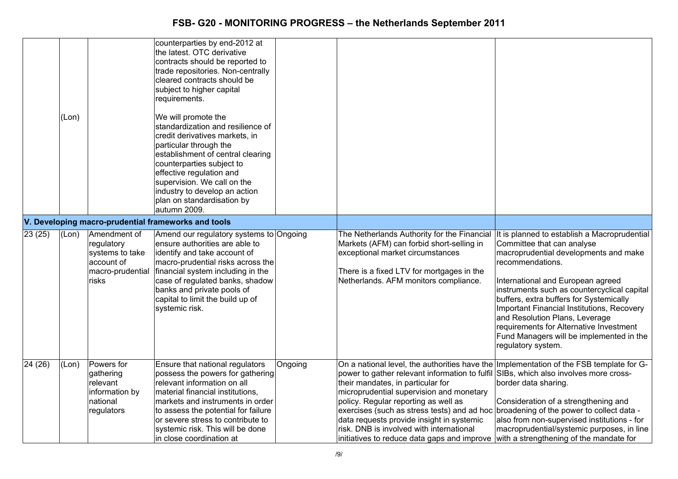|         | (Lon) |                                                                                          | counterparties by end-2012 at<br>the latest. OTC derivative<br>contracts should be reported to<br>trade repositories. Non-centrally<br>cleared contracts should be<br>subject to higher capital<br>requirements.<br>We will promote the<br>standardization and resilience of<br>credit derivatives markets, in<br>particular through the<br>establishment of central clearing<br>counterparties subject to<br>effective regulation and<br>supervision. We call on the<br>industry to develop an action<br>plan on standardisation by<br>autumn 2009. |         |                                                                                                                                                                                                                                                                                                                                                                                                                                                                                                     |                                                                                                                                                                                                                                                                                                                                                                                                                                                                     |
|---------|-------|------------------------------------------------------------------------------------------|------------------------------------------------------------------------------------------------------------------------------------------------------------------------------------------------------------------------------------------------------------------------------------------------------------------------------------------------------------------------------------------------------------------------------------------------------------------------------------------------------------------------------------------------------|---------|-----------------------------------------------------------------------------------------------------------------------------------------------------------------------------------------------------------------------------------------------------------------------------------------------------------------------------------------------------------------------------------------------------------------------------------------------------------------------------------------------------|---------------------------------------------------------------------------------------------------------------------------------------------------------------------------------------------------------------------------------------------------------------------------------------------------------------------------------------------------------------------------------------------------------------------------------------------------------------------|
|         |       |                                                                                          | V. Developing macro-prudential frameworks and tools                                                                                                                                                                                                                                                                                                                                                                                                                                                                                                  |         |                                                                                                                                                                                                                                                                                                                                                                                                                                                                                                     |                                                                                                                                                                                                                                                                                                                                                                                                                                                                     |
| 23(25)  | (Lon) | Amendment of<br>regulatory<br>systems to take<br>account of<br>macro-prudential<br>risks | Amend our regulatory systems to Ongoing<br>ensure authorities are able to<br>identify and take account of<br>macro-prudential risks across the<br>financial system including in the<br>case of regulated banks, shadow<br>banks and private pools of<br>capital to limit the build up of<br>systemic risk.                                                                                                                                                                                                                                           |         | The Netherlands Authority for the Financial<br>Markets (AFM) can forbid short-selling in<br>exceptional market circumstances<br>There is a fixed LTV for mortgages in the<br>Netherlands. AFM monitors compliance.                                                                                                                                                                                                                                                                                  | It is planned to establish a Macroprudential<br>Committee that can analyse<br>macroprudential developments and make<br>recommendations.<br>International and European agreed<br>instruments such as countercyclical capital<br>buffers, extra buffers for Systemically<br>Important Financial Institutions, Recovery<br>and Resolution Plans, Leverage<br>requirements for Alternative Investment<br>Fund Managers will be implemented in the<br>regulatory system. |
| 24 (26) | (Lon) | Powers for<br>gathering<br>relevant<br>information by<br>national<br>regulators          | Ensure that national regulators<br>possess the powers for gathering<br>relevant information on all<br>material financial institutions,<br>markets and instruments in order<br>to assess the potential for failure<br>or severe stress to contribute to<br>systemic risk. This will be done<br>in close coordination at                                                                                                                                                                                                                               | Ongoing | On a national level, the authorities have the Implementation of the FSB template for G-<br>power to gather relevant information to fulfil<br>their mandates, in particular for<br>microprudential supervision and monetary<br>policy. Regular reporting as well as<br>exercises (such as stress tests) and ad hoc broadening of the power to collect data -<br>data requests provide insight in systemic<br>risk. DNB is involved with international<br>initiatives to reduce data gaps and improve | SIBs, which also involves more cross-<br>border data sharing.<br>Consideration of a strengthening and<br>also from non-supervised institutions - for<br>macroprudential/systemic purposes, in line<br>with a strengthening of the mandate for                                                                                                                                                                                                                       |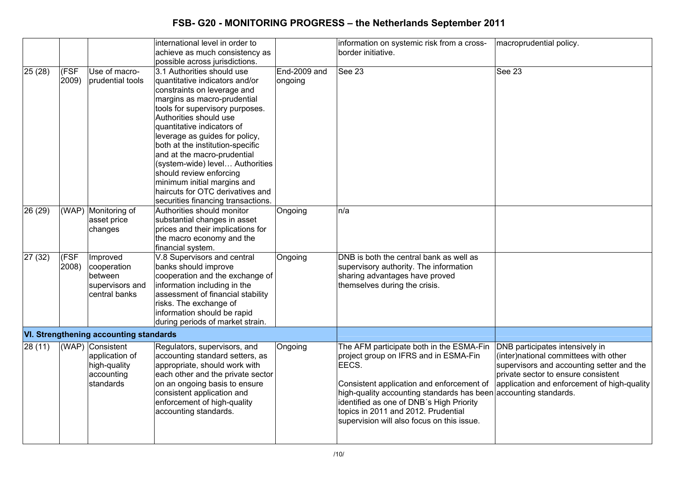|         |               |                                                                               | international level in order to<br>achieve as much consistency as<br>possible across jurisdictions.                                                                                                                                                                                                                                                                                                                                                                                               |                         | information on systemic risk from a cross-<br>border initiative.                                                                                                                                                                                                                                                                             | macroprudential policy.                                                                                                                                                                                     |
|---------|---------------|-------------------------------------------------------------------------------|---------------------------------------------------------------------------------------------------------------------------------------------------------------------------------------------------------------------------------------------------------------------------------------------------------------------------------------------------------------------------------------------------------------------------------------------------------------------------------------------------|-------------------------|----------------------------------------------------------------------------------------------------------------------------------------------------------------------------------------------------------------------------------------------------------------------------------------------------------------------------------------------|-------------------------------------------------------------------------------------------------------------------------------------------------------------------------------------------------------------|
| 25(28)  | (FSF<br>2009) | Use of macro-<br>prudential tools                                             | 3.1 Authorities should use<br>quantitative indicators and/or<br>constraints on leverage and<br>margins as macro-prudential<br>tools for supervisory purposes.<br>Authorities should use<br>quantitative indicators of<br>leverage as guides for policy,<br>both at the institution-specific<br>and at the macro-prudential<br>(system-wide) level Authorities<br>should review enforcing<br>minimum initial margins and<br>haircuts for OTC derivatives and<br>securities financing transactions. | End-2009 and<br>ongoing | See 23                                                                                                                                                                                                                                                                                                                                       | <b>See 23</b>                                                                                                                                                                                               |
| 26 (29) |               | (WAP) Monitoring of<br>asset price<br>changes                                 | Authorities should monitor<br>substantial changes in asset<br>prices and their implications for<br>the macro economy and the<br>financial system.                                                                                                                                                                                                                                                                                                                                                 | Ongoing                 | n/a                                                                                                                                                                                                                                                                                                                                          |                                                                                                                                                                                                             |
| 27 (32) | (FSF<br>2008) | Improved<br>cooperation<br>between<br>supervisors and<br>central banks        | V.8 Supervisors and central<br>banks should improve<br>cooperation and the exchange of<br>information including in the<br>assessment of financial stability<br>risks. The exchange of<br>information should be rapid<br>during periods of market strain.                                                                                                                                                                                                                                          | Ongoing                 | DNB is both the central bank as well as<br>supervisory authority. The information<br>sharing advantages have proved<br>themselves during the crisis.                                                                                                                                                                                         |                                                                                                                                                                                                             |
|         |               | <b>VI. Strengthening accounting standards</b>                                 |                                                                                                                                                                                                                                                                                                                                                                                                                                                                                                   |                         |                                                                                                                                                                                                                                                                                                                                              |                                                                                                                                                                                                             |
| 28(11)  |               | (WAP) Consistent<br>application of<br>high-quality<br>accounting<br>standards | Regulators, supervisors, and<br>accounting standard setters, as<br>appropriate, should work with<br>each other and the private sector<br>on an ongoing basis to ensure<br>consistent application and<br>enforcement of high-quality<br>accounting standards.                                                                                                                                                                                                                                      | Ongoing                 | The AFM participate both in the ESMA-Fin<br>project group on IFRS and in ESMA-Fin<br>EECS.<br>Consistent application and enforcement of<br>high-quality accounting standards has been accounting standards.<br>identified as one of DNB's High Priority<br>topics in 2011 and 2012. Prudential<br>supervision will also focus on this issue. | DNB participates intensively in<br>(inter)national committees with other<br>supervisors and accounting setter and the<br>private sector to ensure consistent<br>application and enforcement of high-quality |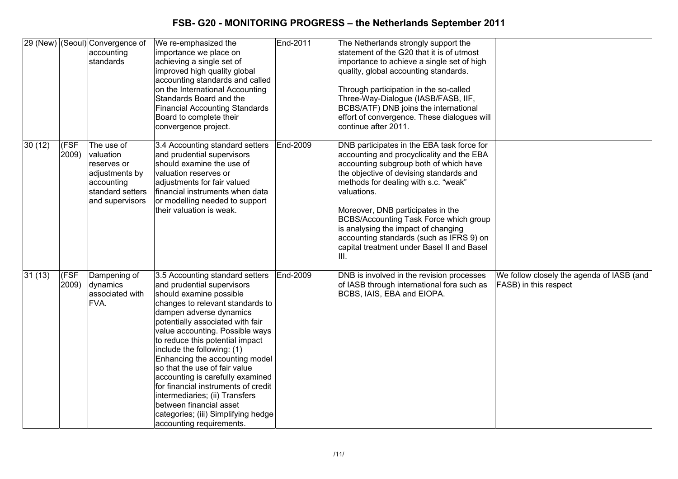|         |                      | 29 (New) (Seoul) Convergence of<br>accounting<br>standards                                                    | We re-emphasized the<br>importance we place on<br>achieving a single set of<br>improved high quality global<br>accounting standards and called<br>on the International Accounting<br>Standards Board and the<br><b>Financial Accounting Standards</b><br>Board to complete their<br>convergence project.                                                                                                                                                                                                                                                                      | End-2011 | The Netherlands strongly support the<br>statement of the G20 that it is of utmost<br>importance to achieve a single set of high<br>quality, global accounting standards.<br>Through participation in the so-called<br>Three-Way-Dialogue (IASB/FASB, IIF,<br>BCBS/ATF) DNB joins the international<br>effort of convergence. These dialogues will<br>continue after 2011.                                                                                   |                                                                    |
|---------|----------------------|---------------------------------------------------------------------------------------------------------------|-------------------------------------------------------------------------------------------------------------------------------------------------------------------------------------------------------------------------------------------------------------------------------------------------------------------------------------------------------------------------------------------------------------------------------------------------------------------------------------------------------------------------------------------------------------------------------|----------|-------------------------------------------------------------------------------------------------------------------------------------------------------------------------------------------------------------------------------------------------------------------------------------------------------------------------------------------------------------------------------------------------------------------------------------------------------------|--------------------------------------------------------------------|
| 30 (12) | (FSF<br>2009)        | The use of<br>valuation<br>reserves or<br>adjustments by<br>accounting<br>standard setters<br>and supervisors | 3.4 Accounting standard setters<br>and prudential supervisors<br>should examine the use of<br>valuation reserves or<br>adjustments for fair valued<br>financial instruments when data<br>or modelling needed to support<br>their valuation is weak.                                                                                                                                                                                                                                                                                                                           | End-2009 | DNB participates in the EBA task force for<br>accounting and procyclicality and the EBA<br>accounting subgroup both of which have<br>the objective of devising standards and<br>methods for dealing with s.c. "weak"<br>valuations.<br>Moreover, DNB participates in the<br>BCBS/Accounting Task Force which group<br>is analysing the impact of changing<br>accounting standards (such as IFRS 9) on<br>capital treatment under Basel II and Basel<br>III. |                                                                    |
| 31(13)  | <b>IFSF</b><br>2009) | Dampening of<br>dynamics<br>associated with<br>FVA.                                                           | 3.5 Accounting standard setters<br>and prudential supervisors<br>should examine possible<br>changes to relevant standards to<br>dampen adverse dynamics<br>potentially associated with fair<br>value accounting. Possible ways<br>to reduce this potential impact<br>include the following: (1)<br>Enhancing the accounting model<br>so that the use of fair value<br>accounting is carefully examined<br>for financial instruments of credit<br>intermediaries; (ii) Transfers<br>between financial asset<br>categories; (iii) Simplifying hedge<br>accounting requirements. | End-2009 | DNB is involved in the revision processes<br>of IASB through international fora such as<br>BCBS, IAIS, EBA and EIOPA.                                                                                                                                                                                                                                                                                                                                       | We follow closely the agenda of IASB (and<br>FASB) in this respect |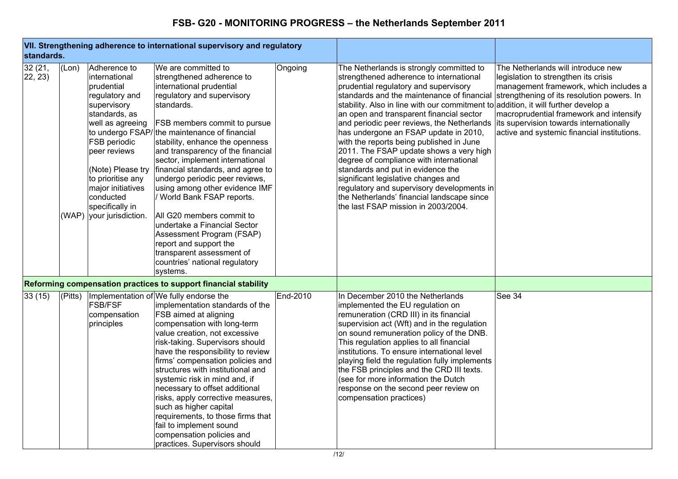| standards.        |        |                                                                                                                                                                                                                                                                                     | VII. Strengthening adherence to international supervisory and regulatory                                                                                                                                                                                                                                                                                                                                                                                                                                                                                                                                                                                          |          |                                                                                                                                                                                                                                                                                                                                                                                                                                                                                                                                                                                                                                                                                                                                                                                                 |                                                                                                                                                                                                                                                           |
|-------------------|--------|-------------------------------------------------------------------------------------------------------------------------------------------------------------------------------------------------------------------------------------------------------------------------------------|-------------------------------------------------------------------------------------------------------------------------------------------------------------------------------------------------------------------------------------------------------------------------------------------------------------------------------------------------------------------------------------------------------------------------------------------------------------------------------------------------------------------------------------------------------------------------------------------------------------------------------------------------------------------|----------|-------------------------------------------------------------------------------------------------------------------------------------------------------------------------------------------------------------------------------------------------------------------------------------------------------------------------------------------------------------------------------------------------------------------------------------------------------------------------------------------------------------------------------------------------------------------------------------------------------------------------------------------------------------------------------------------------------------------------------------------------------------------------------------------------|-----------------------------------------------------------------------------------------------------------------------------------------------------------------------------------------------------------------------------------------------------------|
| 32(21,<br>22, 23) | (Lon)  | Adherence to<br>international<br>prudential<br>regulatory and<br>supervisory<br>standards, as<br>well as agreeing<br><b>FSB</b> periodic<br>peer reviews<br>(Note) Please try<br>to prioritise any<br>major initiatives<br>conducted<br>specifically in<br>(WAP) your jurisdiction. | We are committed to<br>strengthened adherence to<br>international prudential<br>regulatory and supervisory<br>standards.<br><b>FSB members commit to pursue</b><br>to undergo FSAP/the maintenance of financial<br>stability, enhance the openness<br>and transparency of the financial<br>sector, implement international<br>financial standards, and agree to<br>undergo periodic peer reviews,<br>using among other evidence IMF<br>/ World Bank FSAP reports.<br>All G20 members commit to<br>lundertake a Financial Sector<br>Assessment Program (FSAP)<br>report and support the<br>transparent assessment of<br>countries' national regulatory<br>systems. | Ongoing  | The Netherlands is strongly committed to<br>strengthened adherence to international<br>prudential regulatory and supervisory<br>standards and the maintenance of financial strengthening of its resolution powers. In<br>stability. Also in line with our commitment to addition, it will further develop a<br>an open and transparent financial sector<br>and periodic peer reviews, the Netherlands<br>has undergone an FSAP update in 2010,<br>with the reports being published in June<br>2011. The FSAP update shows a very high<br>degree of compliance with international<br>standards and put in evidence the<br>significant legislative changes and<br>regulatory and supervisory developments in<br>the Netherlands' financial landscape since<br>the last FSAP mission in 2003/2004. | The Netherlands will introduce new<br>legislation to strengthen its crisis<br>management framework, which includes a<br>macroprudential framework and intensify<br>its supervision towards internationally<br>active and systemic financial institutions. |
|                   |        |                                                                                                                                                                                                                                                                                     | Reforming compensation practices to support financial stability                                                                                                                                                                                                                                                                                                                                                                                                                                                                                                                                                                                                   |          |                                                                                                                                                                                                                                                                                                                                                                                                                                                                                                                                                                                                                                                                                                                                                                                                 |                                                                                                                                                                                                                                                           |
| 33(15)            | Pitts) | <b>FSB/FSF</b><br>compensation<br>principles                                                                                                                                                                                                                                        | Implementation of We fully endorse the<br>implementation standards of the<br><b>FSB</b> aimed at aligning<br>compensation with long-term<br>value creation, not excessive<br>risk-taking. Supervisors should<br>have the responsibility to review<br>firms' compensation policies and<br>structures with institutional and<br>systemic risk in mind and, if<br>necessary to offset additional<br>risks, apply corrective measures,<br>such as higher capital<br>requirements, to those firms that<br>fail to implement sound<br>compensation policies and<br>practices. Supervisors should                                                                        | End-2010 | In December 2010 the Netherlands<br>implemented the EU regulation on<br>remuneration (CRD III) in its financial<br>supervision act (Wft) and in the regulation<br>on sound remuneration policy of the DNB.<br>This regulation applies to all financial<br>institutions. To ensure international level<br>playing field the regulation fully implements<br>the FSB principles and the CRD III texts.<br>(see for more information the Dutch<br>response on the second peer review on<br>compensation practices)                                                                                                                                                                                                                                                                                  | See 34                                                                                                                                                                                                                                                    |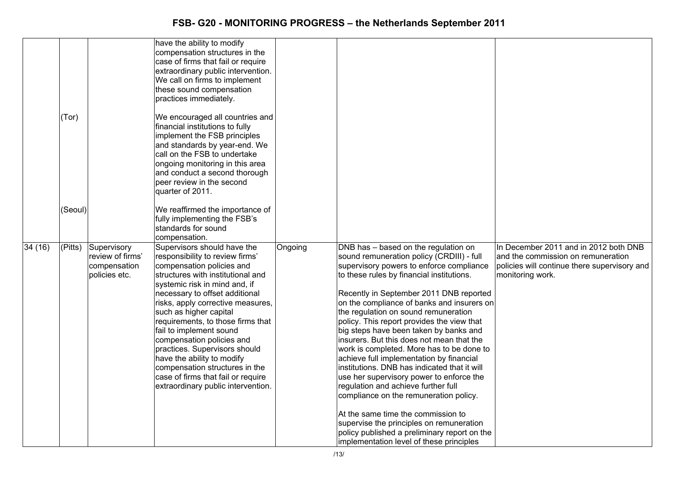|        | (Tor)   |                                                                  | have the ability to modify<br>compensation structures in the<br>case of firms that fail or require<br>extraordinary public intervention.<br>We call on firms to implement<br>these sound compensation<br>practices immediately.<br>We encouraged all countries and<br>financial institutions to fully<br>implement the FSB principles<br>and standards by year-end. We<br>call on the FSB to undertake<br>ongoing monitoring in this area<br>and conduct a second thorough<br>peer review in the second<br>quarter of 2011.                  |         |                                                                                                                                                                                                                                                                                                                                                                                                                                                                                                                                                                                                                                                                                                                                                                                                          |                                                                                                                                                 |
|--------|---------|------------------------------------------------------------------|----------------------------------------------------------------------------------------------------------------------------------------------------------------------------------------------------------------------------------------------------------------------------------------------------------------------------------------------------------------------------------------------------------------------------------------------------------------------------------------------------------------------------------------------|---------|----------------------------------------------------------------------------------------------------------------------------------------------------------------------------------------------------------------------------------------------------------------------------------------------------------------------------------------------------------------------------------------------------------------------------------------------------------------------------------------------------------------------------------------------------------------------------------------------------------------------------------------------------------------------------------------------------------------------------------------------------------------------------------------------------------|-------------------------------------------------------------------------------------------------------------------------------------------------|
|        | (Seoul) |                                                                  | We reaffirmed the importance of                                                                                                                                                                                                                                                                                                                                                                                                                                                                                                              |         |                                                                                                                                                                                                                                                                                                                                                                                                                                                                                                                                                                                                                                                                                                                                                                                                          |                                                                                                                                                 |
|        |         |                                                                  | fully implementing the FSB's<br>standards for sound                                                                                                                                                                                                                                                                                                                                                                                                                                                                                          |         |                                                                                                                                                                                                                                                                                                                                                                                                                                                                                                                                                                                                                                                                                                                                                                                                          |                                                                                                                                                 |
|        |         |                                                                  | compensation.                                                                                                                                                                                                                                                                                                                                                                                                                                                                                                                                |         |                                                                                                                                                                                                                                                                                                                                                                                                                                                                                                                                                                                                                                                                                                                                                                                                          |                                                                                                                                                 |
| 34(16) | (Pitts) | Supervisory<br>review of firms'<br>compensation<br>policies etc. | Supervisors should have the<br>responsibility to review firms'<br>compensation policies and<br>structures with institutional and<br>systemic risk in mind and, if<br>necessary to offset additional<br>risks, apply corrective measures,<br>such as higher capital<br>requirements, to those firms that<br>fail to implement sound<br>compensation policies and<br>practices. Supervisors should<br>have the ability to modify<br>compensation structures in the<br>case of firms that fail or require<br>extraordinary public intervention. | Ongoing | DNB has - based on the regulation on<br>sound remuneration policy (CRDIII) - full<br>supervisory powers to enforce compliance<br>to these rules by financial institutions.<br>Recently in September 2011 DNB reported<br>on the compliance of banks and insurers on<br>the regulation on sound remuneration<br>policy. This report provides the view that<br>big steps have been taken by banks and<br>insurers. But this does not mean that the<br>work is completed. More has to be done to<br>achieve full implementation by financial<br>institutions. DNB has indicated that it will<br>use her supervisory power to enforce the<br>regulation and achieve further full<br>compliance on the remuneration policy.<br>At the same time the commission to<br>supervise the principles on remuneration | In December 2011 and in 2012 both DNB<br>and the commission on remuneration<br>policies will continue there supervisory and<br>monitoring work. |
|        |         |                                                                  |                                                                                                                                                                                                                                                                                                                                                                                                                                                                                                                                              |         | policy published a preliminary report on the<br>implementation level of these principles                                                                                                                                                                                                                                                                                                                                                                                                                                                                                                                                                                                                                                                                                                                 |                                                                                                                                                 |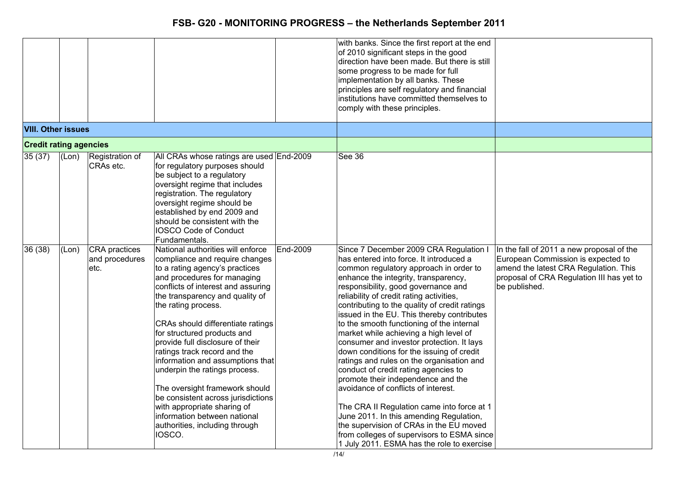|                               |       |                                                |                                                                                                                                                                                                                                                                                                                                                                                                                                                                                                                                                                                                                                      |          | with banks. Since the first report at the end<br>of 2010 significant steps in the good<br>direction have been made. But there is still<br>some progress to be made for full<br>implementation by all banks. These<br>principles are self regulatory and financial<br>institutions have committed themselves to<br>comply with these principles.                                                                                                                                                                                                                                                                                                                                                                                                                                                                                                                                                                                          |                                                                                                                                                                                        |
|-------------------------------|-------|------------------------------------------------|--------------------------------------------------------------------------------------------------------------------------------------------------------------------------------------------------------------------------------------------------------------------------------------------------------------------------------------------------------------------------------------------------------------------------------------------------------------------------------------------------------------------------------------------------------------------------------------------------------------------------------------|----------|------------------------------------------------------------------------------------------------------------------------------------------------------------------------------------------------------------------------------------------------------------------------------------------------------------------------------------------------------------------------------------------------------------------------------------------------------------------------------------------------------------------------------------------------------------------------------------------------------------------------------------------------------------------------------------------------------------------------------------------------------------------------------------------------------------------------------------------------------------------------------------------------------------------------------------------|----------------------------------------------------------------------------------------------------------------------------------------------------------------------------------------|
| <b>VIII. Other issues</b>     |       |                                                |                                                                                                                                                                                                                                                                                                                                                                                                                                                                                                                                                                                                                                      |          |                                                                                                                                                                                                                                                                                                                                                                                                                                                                                                                                                                                                                                                                                                                                                                                                                                                                                                                                          |                                                                                                                                                                                        |
| <b>Credit rating agencies</b> |       |                                                |                                                                                                                                                                                                                                                                                                                                                                                                                                                                                                                                                                                                                                      |          |                                                                                                                                                                                                                                                                                                                                                                                                                                                                                                                                                                                                                                                                                                                                                                                                                                                                                                                                          |                                                                                                                                                                                        |
| 35(37)                        | (Lon) | Registration of<br>CRAs etc.                   | All CRAs whose ratings are used End-2009<br>for regulatory purposes should<br>be subject to a regulatory<br>oversight regime that includes<br>registration. The regulatory<br>oversight regime should be<br>established by end 2009 and<br>should be consistent with the<br><b>IOSCO Code of Conduct</b><br>Fundamentals.                                                                                                                                                                                                                                                                                                            |          | See 36                                                                                                                                                                                                                                                                                                                                                                                                                                                                                                                                                                                                                                                                                                                                                                                                                                                                                                                                   |                                                                                                                                                                                        |
| 36(38)                        | (Lon) | <b>CRA</b> practices<br>and procedures<br>etc. | National authorities will enforce<br>compliance and require changes<br>to a rating agency's practices<br>and procedures for managing<br>conflicts of interest and assuring<br>the transparency and quality of<br>the rating process.<br>CRAs should differentiate ratings<br>for structured products and<br>provide full disclosure of their<br>ratings track record and the<br>information and assumptions that<br>underpin the ratings process.<br>The oversight framework should<br>be consistent across jurisdictions<br>with appropriate sharing of<br>information between national<br>authorities, including through<br>IOSCO. | End-2009 | Since 7 December 2009 CRA Regulation I<br>has entered into force. It introduced a<br>common regulatory approach in order to<br>enhance the integrity, transparency,<br>responsibility, good governance and<br>reliability of credit rating activities,<br>contributing to the quality of credit ratings<br>issued in the EU. This thereby contributes<br>to the smooth functioning of the internal<br>market while achieving a high level of<br>consumer and investor protection. It lays<br>down conditions for the issuing of credit<br>ratings and rules on the organisation and<br>conduct of credit rating agencies to<br>promote their independence and the<br>avoidance of conflicts of interest.<br>The CRA II Regulation came into force at 1<br>June 2011. In this amending Regulation,<br>the supervision of CRAs in the EU moved<br>from colleges of supervisors to ESMA since<br>1 July 2011. ESMA has the role to exercise | In the fall of 2011 a new proposal of the<br>European Commission is expected to<br>amend the latest CRA Regulation. This<br>proposal of CRA Regulation III has yet to<br>be published. |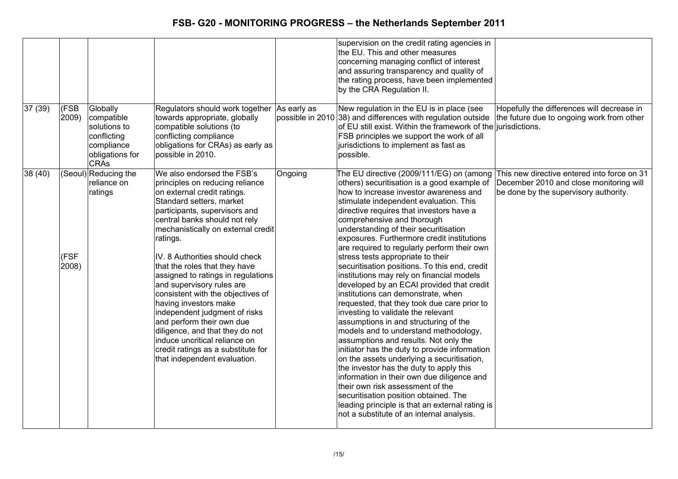|         |                      |                                                                                                       |                                                                                                                                                                                                                                                                                                                                                                                                                                                                                                                                                                                                                                                          |                  | supervision on the credit rating agencies in<br>the EU. This and other measures<br>concerning managing conflict of interest<br>and assuring transparency and quality of<br>the rating process, have been implemented<br>by the CRA Regulation II.                                                                                                                                                                                                                                                                                                                                                                                                                                                                                                                                                                                                                                                                                                                                                                                                                                                                                                                                                      |                                                                                                                                 |
|---------|----------------------|-------------------------------------------------------------------------------------------------------|----------------------------------------------------------------------------------------------------------------------------------------------------------------------------------------------------------------------------------------------------------------------------------------------------------------------------------------------------------------------------------------------------------------------------------------------------------------------------------------------------------------------------------------------------------------------------------------------------------------------------------------------------------|------------------|--------------------------------------------------------------------------------------------------------------------------------------------------------------------------------------------------------------------------------------------------------------------------------------------------------------------------------------------------------------------------------------------------------------------------------------------------------------------------------------------------------------------------------------------------------------------------------------------------------------------------------------------------------------------------------------------------------------------------------------------------------------------------------------------------------------------------------------------------------------------------------------------------------------------------------------------------------------------------------------------------------------------------------------------------------------------------------------------------------------------------------------------------------------------------------------------------------|---------------------------------------------------------------------------------------------------------------------------------|
| 37(39)  | <b>CESB</b><br>2009) | Globally<br>compatible<br>solutions to<br>conflicting<br>compliance<br>obligations for<br><b>CRAs</b> | Regulators should work together As early as<br>towards appropriate, globally<br>compatible solutions (to<br>conflicting compliance<br>obligations for CRAs) as early as<br>possible in 2010.                                                                                                                                                                                                                                                                                                                                                                                                                                                             | possible in 2010 | New regulation in the EU is in place (see<br>38) and differences with regulation outside<br>of EU still exist. Within the framework of the liurisdictions.<br>FSB principles we support the work of all<br>jurisdictions to implement as fast as<br>possible.                                                                                                                                                                                                                                                                                                                                                                                                                                                                                                                                                                                                                                                                                                                                                                                                                                                                                                                                          | Hopefully the differences will decrease in<br>the future due to ongoing work from other                                         |
| 38 (40) | (FSF<br>2008)        | (Seoul) Reducing the<br>reliance on<br>ratings                                                        | We also endorsed the FSB's<br>principles on reducing reliance<br>on external credit ratings.<br>Standard setters, market<br>participants, supervisors and<br>central banks should not rely<br>mechanistically on external credit<br>ratings.<br>IV. 8 Authorities should check<br>that the roles that they have<br>assigned to ratings in regulations<br>and supervisory rules are<br>consistent with the objectives of<br>having investors make<br>independent judgment of risks<br>and perform their own due<br>diligence, and that they do not<br>induce uncritical reliance on<br>credit ratings as a substitute for<br>that independent evaluation. | Ongoing          | The EU directive (2009/111/EG) on (among<br>others) securitisation is a good example of<br>how to increase investor awareness and<br>stimulate independent evaluation. This<br>directive requires that investors have a<br>comprehensive and thorough<br>understanding of their securitisation<br>exposures. Furthermore credit institutions<br>are required to regularly perform their own<br>stress tests appropriate to their<br>securitisation positions. To this end, credit<br>institutions may rely on financial models<br>developed by an ECAI provided that credit<br>institutions can demonstrate, when<br>requested, that they took due care prior to<br>investing to validate the relevant<br>assumptions in and structuring of the<br>models and to understand methodology,<br>assumptions and results. Not only the<br>initiator has the duty to provide information<br>on the assets underlying a securitisation,<br>the investor has the duty to apply this<br>information in their own due diligence and<br>their own risk assessment of the<br>securitisation position obtained. The<br>leading principle is that an external rating is<br>not a substitute of an internal analysis. | This new directive entered into force on 31<br>December 2010 and close monitoring will<br>be done by the supervisory authority. |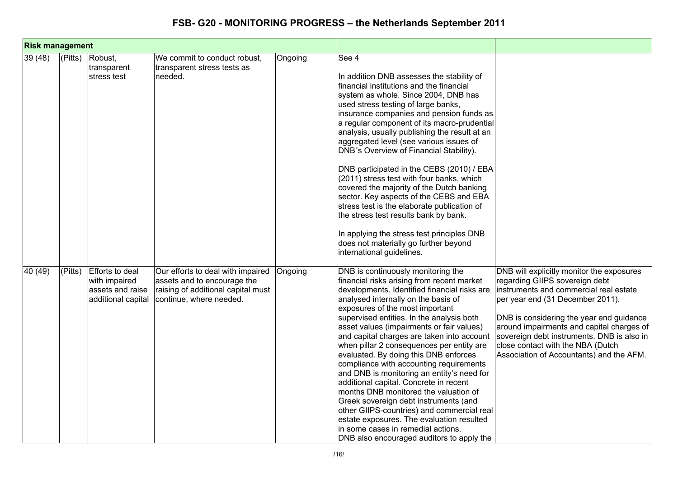| <b>Risk management</b> |             |                                                                            |                                                                                                                                   |         |                                                                                                                                                                                                                                                                                                                                                                                                                                                                                                                                                                                                                                                                                                                                                                                                                                             |                                                                                                                                                                                                                                                                                                                                                                                   |
|------------------------|-------------|----------------------------------------------------------------------------|-----------------------------------------------------------------------------------------------------------------------------------|---------|---------------------------------------------------------------------------------------------------------------------------------------------------------------------------------------------------------------------------------------------------------------------------------------------------------------------------------------------------------------------------------------------------------------------------------------------------------------------------------------------------------------------------------------------------------------------------------------------------------------------------------------------------------------------------------------------------------------------------------------------------------------------------------------------------------------------------------------------|-----------------------------------------------------------------------------------------------------------------------------------------------------------------------------------------------------------------------------------------------------------------------------------------------------------------------------------------------------------------------------------|
| 39 (48)                | $ $ (Pitts) | Robust,<br>transparent<br>stress test                                      | We commit to conduct robust,<br>transparent stress tests as<br>needed.                                                            | Ongoing | See 4<br>In addition DNB assesses the stability of<br>financial institutions and the financial<br>system as whole. Since 2004, DNB has<br>used stress testing of large banks,<br>insurance companies and pension funds as<br>a regular component of its macro-prudential<br>analysis, usually publishing the result at an<br>aggregated level (see various issues of<br>DNB's Overview of Financial Stability).<br>DNB participated in the CEBS (2010) / EBA<br>(2011) stress test with four banks, which<br>covered the majority of the Dutch banking<br>sector. Key aspects of the CEBS and EBA<br>stress test is the elaborate publication of<br>the stress test results bank by bank.<br>In applying the stress test principles DNB<br>does not materially go further beyond<br>international guidelines.                               |                                                                                                                                                                                                                                                                                                                                                                                   |
| 40 (49)                | (Pitts)     | Efforts to deal<br>with impaired<br>assets and raise<br>additional capital | Our efforts to deal with impaired<br>assets and to encourage the<br>raising of additional capital must<br>continue, where needed. | Ongoing | DNB is continuously monitoring the<br>financial risks arising from recent market<br>developments. Identified financial risks are<br>analysed internally on the basis of<br>exposures of the most important<br>supervised entities. In the analysis both<br>asset values (impairments or fair values)<br>and capital charges are taken into account<br>when pillar 2 consequences per entity are<br>evaluated. By doing this DNB enforces<br>compliance with accounting requirements<br>and DNB is monitoring an entity's need for<br>additional capital. Concrete in recent<br>months DNB monitored the valuation of<br>Greek sovereign debt instruments (and<br>other GIIPS-countries) and commercial real<br>estate exposures. The evaluation resulted<br>in some cases in remedial actions.<br>DNB also encouraged auditors to apply the | DNB will explicitly monitor the exposures<br>regarding GIIPS sovereign debt<br>instruments and commercial real estate<br>per year end (31 December 2011).<br>DNB is considering the year end guidance<br>around impairments and capital charges of<br>sovereign debt instruments. DNB is also in<br>close contact with the NBA (Dutch<br>Association of Accountants) and the AFM. |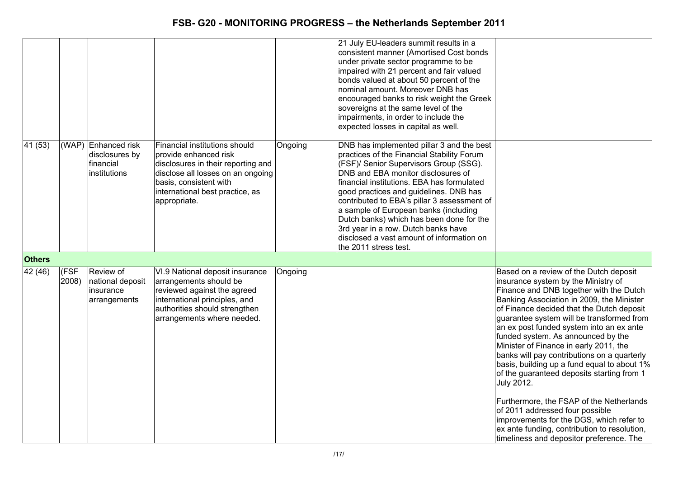|               |               |                                                                    |                                                                                                                                                                                                                |         | 21 July EU-leaders summit results in a<br>consistent manner (Amortised Cost bonds<br>under private sector programme to be<br>impaired with 21 percent and fair valued<br>bonds valued at about 50 percent of the<br>nominal amount. Moreover DNB has<br>encouraged banks to risk weight the Greek<br>sovereigns at the same level of the<br>impairments, in order to include the<br>expected losses in capital as well.                                                                                          |                                                                                                                                                                                                                                                                                                                                                                                                                                                                                                                                                                                                                                                                                                                                                                                     |
|---------------|---------------|--------------------------------------------------------------------|----------------------------------------------------------------------------------------------------------------------------------------------------------------------------------------------------------------|---------|------------------------------------------------------------------------------------------------------------------------------------------------------------------------------------------------------------------------------------------------------------------------------------------------------------------------------------------------------------------------------------------------------------------------------------------------------------------------------------------------------------------|-------------------------------------------------------------------------------------------------------------------------------------------------------------------------------------------------------------------------------------------------------------------------------------------------------------------------------------------------------------------------------------------------------------------------------------------------------------------------------------------------------------------------------------------------------------------------------------------------------------------------------------------------------------------------------------------------------------------------------------------------------------------------------------|
| 41(53)        |               | (WAP) Enhanced risk<br>disclosures by<br>financial<br>institutions | Financial institutions should<br>provide enhanced risk<br>disclosures in their reporting and<br>disclose all losses on an ongoing<br>basis, consistent with<br>international best practice, as<br>appropriate. | Ongoing | DNB has implemented pillar 3 and the best<br>practices of the Financial Stability Forum<br>(FSF)/ Senior Supervisors Group (SSG).<br>DNB and EBA monitor disclosures of<br>financial institutions. EBA has formulated<br>good practices and guidelines. DNB has<br>contributed to EBA's pillar 3 assessment of<br>a sample of European banks (including<br>Dutch banks) which has been done for the<br>3rd year in a row. Dutch banks have<br>disclosed a vast amount of information on<br>the 2011 stress test. |                                                                                                                                                                                                                                                                                                                                                                                                                                                                                                                                                                                                                                                                                                                                                                                     |
| <b>Others</b> |               |                                                                    |                                                                                                                                                                                                                |         |                                                                                                                                                                                                                                                                                                                                                                                                                                                                                                                  |                                                                                                                                                                                                                                                                                                                                                                                                                                                                                                                                                                                                                                                                                                                                                                                     |
| 42(46)        | (FSF<br>2008) | Review of<br>national deposit<br>insurance<br>arrangements         | VI.9 National deposit insurance<br>arrangements should be<br>reviewed against the agreed<br>international principles, and<br>authorities should strengthen<br>arrangements where needed.                       | Ongoing |                                                                                                                                                                                                                                                                                                                                                                                                                                                                                                                  | Based on a review of the Dutch deposit<br>insurance system by the Ministry of<br>Finance and DNB together with the Dutch<br>Banking Association in 2009, the Minister<br>of Finance decided that the Dutch deposit<br>guarantee system will be transformed from<br>an ex post funded system into an ex ante<br>funded system. As announced by the<br>Minister of Finance in early 2011, the<br>banks will pay contributions on a quarterly<br>basis, building up a fund equal to about 1%<br>of the guaranteed deposits starting from 1<br><b>July 2012.</b><br>Furthermore, the FSAP of the Netherlands<br>of 2011 addressed four possible<br>improvements for the DGS, which refer to<br>ex ante funding, contribution to resolution,<br>timeliness and depositor preference. The |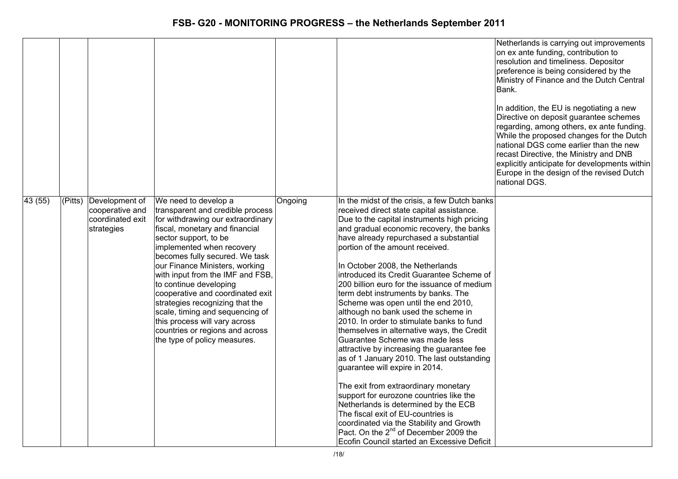|        |         |                                                                     |                                                                                                                                                                                                                                                                                                                                                                                                                                                                                                                                       |         |                                                                                                                                                                                                                                                                                                                                                                                                                                                                                                                                                                                                                                                                                                                                                                                                                                                                                                                                                                                                                                                                                                     | Netherlands is carrying out improvements<br>on ex ante funding, contribution to<br>resolution and timeliness. Depositor<br>preference is being considered by the<br>Ministry of Finance and the Dutch Central<br>Bank.<br>In addition, the EU is negotiating a new<br>Directive on deposit guarantee schemes<br>regarding, among others, ex ante funding.<br>While the proposed changes for the Dutch<br>national DGS come earlier than the new<br>recast Directive, the Ministry and DNB<br>explicitly anticipate for developments within<br>Europe in the design of the revised Dutch<br>national DGS. |
|--------|---------|---------------------------------------------------------------------|---------------------------------------------------------------------------------------------------------------------------------------------------------------------------------------------------------------------------------------------------------------------------------------------------------------------------------------------------------------------------------------------------------------------------------------------------------------------------------------------------------------------------------------|---------|-----------------------------------------------------------------------------------------------------------------------------------------------------------------------------------------------------------------------------------------------------------------------------------------------------------------------------------------------------------------------------------------------------------------------------------------------------------------------------------------------------------------------------------------------------------------------------------------------------------------------------------------------------------------------------------------------------------------------------------------------------------------------------------------------------------------------------------------------------------------------------------------------------------------------------------------------------------------------------------------------------------------------------------------------------------------------------------------------------|----------------------------------------------------------------------------------------------------------------------------------------------------------------------------------------------------------------------------------------------------------------------------------------------------------------------------------------------------------------------------------------------------------------------------------------------------------------------------------------------------------------------------------------------------------------------------------------------------------|
| 43(55) | (Pitts) | Development of<br>cooperative and<br>coordinated exit<br>strategies | We need to develop a<br>transparent and credible process<br>for withdrawing our extraordinary<br>fiscal, monetary and financial<br>sector support, to be<br>implemented when recovery<br>becomes fully secured. We task<br>our Finance Ministers, working<br>with input from the IMF and FSB,<br>to continue developing<br>cooperative and coordinated exit<br>strategies recognizing that the<br>scale, timing and sequencing of<br>this process will vary across<br>countries or regions and across<br>the type of policy measures. | Ongoing | In the midst of the crisis, a few Dutch banks<br>received direct state capital assistance.<br>Due to the capital instruments high pricing<br>and gradual economic recovery, the banks<br>have already repurchased a substantial<br>portion of the amount received.<br>In October 2008, the Netherlands<br>introduced its Credit Guarantee Scheme of<br>200 billion euro for the issuance of medium<br>term debt instruments by banks. The<br>Scheme was open until the end 2010,<br>although no bank used the scheme in<br>2010. In order to stimulate banks to fund<br>themselves in alternative ways, the Credit<br>Guarantee Scheme was made less<br>attractive by increasing the guarantee fee<br>as of 1 January 2010. The last outstanding<br>guarantee will expire in 2014.<br>The exit from extraordinary monetary<br>support for eurozone countries like the<br>Netherlands is determined by the ECB<br>The fiscal exit of EU-countries is<br>coordinated via the Stability and Growth<br>Pact. On the 2 <sup>nd</sup> of December 2009 the<br>Ecofin Council started an Excessive Deficit |                                                                                                                                                                                                                                                                                                                                                                                                                                                                                                                                                                                                          |